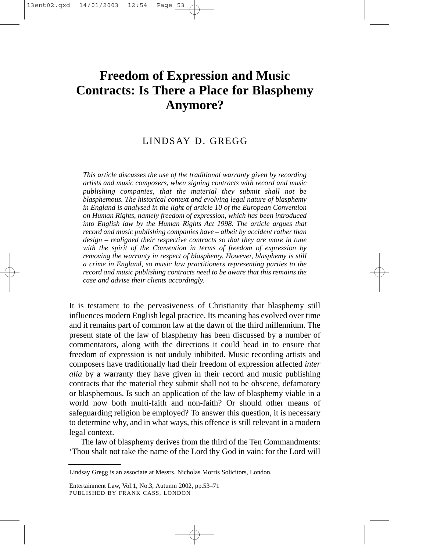# **Freedom of Expression and Music Contracts: Is There a Place for Blasphemy Anymore?**

# LINDSAY D. GREGG

*This article discusses the use of the traditional warranty given by recording artists and music composers, when signing contracts with record and music publishing companies, that the material they submit shall not be blasphemous. The historical context and evolving legal nature of blasphemy in England is analysed in the light of article 10 of the European Convention on Human Rights, namely freedom of expression, which has been introduced into English law by the Human Rights Act 1998. The article argues that record and music publishing companies have – albeit by accident rather than design – realigned their respective contracts so that they are more in tune with the spirit of the Convention in terms of freedom of expression by removing the warranty in respect of blasphemy. However, blasphemy is still a crime in England, so music law practitioners representing parties to the record and music publishing contracts need to be aware that this remains the case and advise their clients accordingly.*

It is testament to the pervasiveness of Christianity that blasphemy still influences modern English legal practice. Its meaning has evolved over time and it remains part of common law at the dawn of the third millennium. The present state of the law of blasphemy has been discussed by a number of commentators, along with the directions it could head in to ensure that freedom of expression is not unduly inhibited. Music recording artists and composers have traditionally had their freedom of expression affected *inter alia* by a warranty they have given in their record and music publishing contracts that the material they submit shall not to be obscene, defamatory or blasphemous. Is such an application of the law of blasphemy viable in a world now both multi-faith and non-faith? Or should other means of safeguarding religion be employed? To answer this question, it is necessary to determine why, and in what ways, this offence is still relevant in a modern legal context.

The law of blasphemy derives from the third of the Ten Commandments: 'Thou shalt not take the name of the Lord thy God in vain: for the Lord will

Lindsay Gregg is an associate at Messrs. Nicholas Morris Solicitors, London.

Entertainment Law, Vol.1, No.3, Autumn 2002, pp.53–71 PUBLISHED BY FRANK CASS, LONDON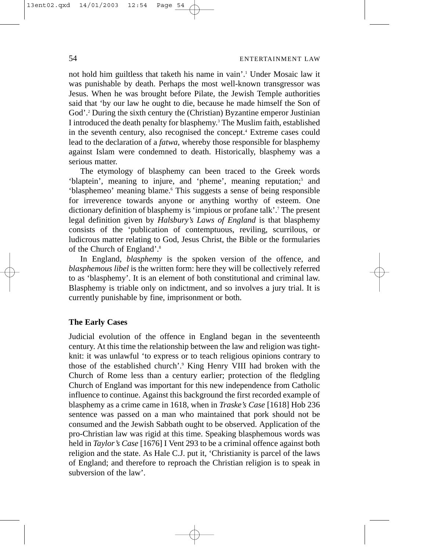not hold him guiltless that taketh his name in vain'.1 Under Mosaic law it was punishable by death. Perhaps the most well-known transgressor was Jesus. When he was brought before Pilate, the Jewish Temple authorities said that 'by our law he ought to die, because he made himself the Son of God'.<sup>2</sup> During the sixth century the (Christian) Byzantine emperor Justinian I introduced the death penalty for blasphemy.3 The Muslim faith, established in the seventh century, also recognised the concept.<sup>4</sup> Extreme cases could lead to the declaration of a *fatwa*, whereby those responsible for blasphemy against Islam were condemned to death. Historically, blasphemy was a serious matter.

The etymology of blasphemy can been traced to the Greek words 'blaptein', meaning to injure, and 'pheme', meaning reputation;<sup>5</sup> and 'blasphemeo' meaning blame.6 This suggests a sense of being responsible for irreverence towards anyone or anything worthy of esteem. One dictionary definition of blasphemy is 'impious or profane talk'.7 The present legal definition given by *Halsbury's Laws of England* is that blasphemy consists of the 'publication of contemptuous, reviling, scurrilous, or ludicrous matter relating to God, Jesus Christ, the Bible or the formularies of the Church of England'.8

In England, *blasphemy* is the spoken version of the offence, and *blasphemous libel* is the written form: here they will be collectively referred to as 'blasphemy'. It is an element of both constitutional and criminal law. Blasphemy is triable only on indictment, and so involves a jury trial. It is currently punishable by fine, imprisonment or both.

# **The Early Cases**

Judicial evolution of the offence in England began in the seventeenth century. At this time the relationship between the law and religion was tightknit: it was unlawful 'to express or to teach religious opinions contrary to those of the established church'.9 King Henry VIII had broken with the Church of Rome less than a century earlier; protection of the fledgling Church of England was important for this new independence from Catholic influence to continue. Against this background the first recorded example of blasphemy as a crime came in 1618, when in *Traske's Case* [1618] Hob 236 sentence was passed on a man who maintained that pork should not be consumed and the Jewish Sabbath ought to be observed. Application of the pro-Christian law was rigid at this time. Speaking blasphemous words was held in *Taylor's Case* [1676] I Vent 293 to be a criminal offence against both religion and the state. As Hale C.J. put it, 'Christianity is parcel of the laws of England; and therefore to reproach the Christian religion is to speak in subversion of the law'.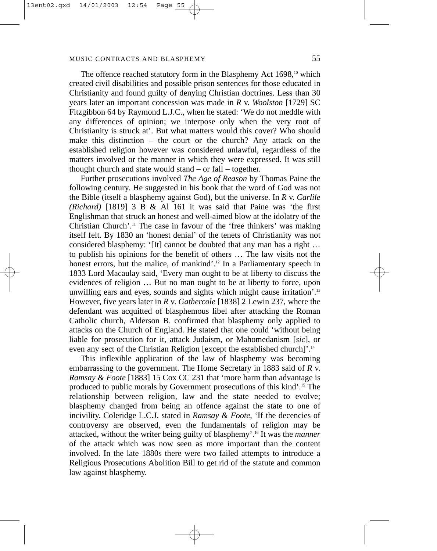The offence reached statutory form in the Blasphemy Act  $1698$ ,<sup>10</sup> which created civil disabilities and possible prison sentences for those educated in Christianity and found guilty of denying Christian doctrines. Less than 30 years later an important concession was made in *R* v. *Woolston* [1729] SC Fitzgibbon 64 by Raymond L.J.C., when he stated: 'We do not meddle with any differences of opinion; we interpose only when the very root of Christianity is struck at'. But what matters would this cover? Who should make this distinction – the court or the church? Any attack on the established religion however was considered unlawful, regardless of the matters involved or the manner in which they were expressed. It was still thought church and state would stand – or fall – together.

Further prosecutions involved *The Age of Reason* by Thomas Paine the following century. He suggested in his book that the word of God was not the Bible (itself a blasphemy against God), but the universe. In *R* v. *Carlile (Richard)* [1819] 3 B & Al 161 it was said that Paine was 'the first Englishman that struck an honest and well-aimed blow at the idolatry of the Christian Church'.11 The case in favour of the 'free thinkers' was making itself felt. By 1830 an 'honest denial' of the tenets of Christianity was not considered blasphemy: '[It] cannot be doubted that any man has a right … to publish his opinions for the benefit of others … The law visits not the honest errors, but the malice, of mankind'.<sup>12</sup> In a Parliamentary speech in 1833 Lord Macaulay said, 'Every man ought to be at liberty to discuss the evidences of religion … But no man ought to be at liberty to force, upon unwilling ears and eyes, sounds and sights which might cause irritation'.<sup>13</sup> However, five years later in *R* v. *Gathercole* [1838] 2 Lewin 237, where the defendant was acquitted of blasphemous libel after attacking the Roman Catholic church, Alderson B. confirmed that blasphemy only applied to attacks on the Church of England. He stated that one could 'without being liable for prosecution for it, attack Judaism, or Mahomedanism [*sic*], or even any sect of the Christian Religion [except the established church]'.<sup>14</sup>

This inflexible application of the law of blasphemy was becoming embarrassing to the government. The Home Secretary in 1883 said of *R* v. *Ramsay & Foote* [1883] 15 Cox CC 231 that 'more harm than advantage is produced to public morals by Government prosecutions of this kind'.15 The relationship between religion, law and the state needed to evolve; blasphemy changed from being an offence against the state to one of incivility. Coleridge L.C.J. stated in *Ramsay & Foote*, 'If the decencies of controversy are observed, even the fundamentals of religion may be attacked, without the writer being guilty of blasphemy'.16 It was the *manner* of the attack which was now seen as more important than the content involved. In the late 1880s there were two failed attempts to introduce a Religious Prosecutions Abolition Bill to get rid of the statute and common law against blasphemy.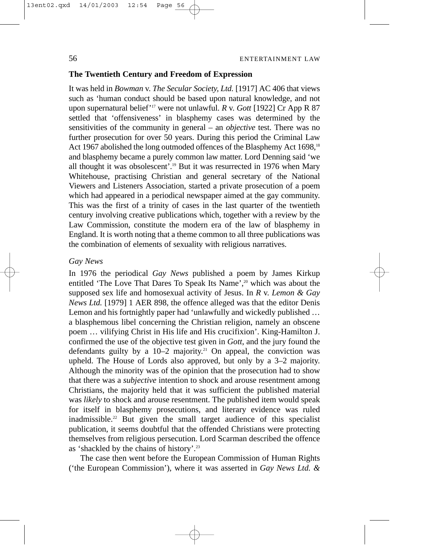# 56 ENTERTAINMENT LAW

#### **The Twentieth Century and Freedom of Expression**

It was held in *Bowman* v. *The Secular Society, Ltd.* [1917] AC 406 that views such as 'human conduct should be based upon natural knowledge, and not upon supernatural belief'17 were not unlawful. *R* v. *Gott* [1922] Cr App R 87 settled that 'offensiveness' in blasphemy cases was determined by the sensitivities of the community in general – an *objective* test. There was no further prosecution for over 50 years. During this period the Criminal Law Act 1967 abolished the long outmoded offences of the Blasphemy Act 1698,<sup>18</sup> and blasphemy became a purely common law matter. Lord Denning said 'we all thought it was obsolescent'.19 But it was resurrected in 1976 when Mary Whitehouse, practising Christian and general secretary of the National Viewers and Listeners Association, started a private prosecution of a poem which had appeared in a periodical newspaper aimed at the gay community. This was the first of a trinity of cases in the last quarter of the twentieth century involving creative publications which, together with a review by the Law Commission, constitute the modern era of the law of blasphemy in England. It is worth noting that a theme common to all three publications was the combination of elements of sexuality with religious narratives.

# *Gay News*

In 1976 the periodical *Gay News* published a poem by James Kirkup entitled 'The Love That Dares To Speak Its Name',<sup>20</sup> which was about the supposed sex life and homosexual activity of Jesus. In *R* v. *Lemon & Gay News Ltd.* [1979] 1 AER 898, the offence alleged was that the editor Denis Lemon and his fortnightly paper had 'unlawfully and wickedly published … a blasphemous libel concerning the Christian religion, namely an obscene poem … vilifying Christ in His life and His crucifixion'. King-Hamilton J. confirmed the use of the objective test given in *Gott*, and the jury found the defendants guilty by a  $10-2$  majority.<sup>21</sup> On appeal, the conviction was upheld. The House of Lords also approved, but only by a 3–2 majority. Although the minority was of the opinion that the prosecution had to show that there was a *subjective* intention to shock and arouse resentment among Christians, the majority held that it was sufficient the published material was *likely* to shock and arouse resentment. The published item would speak for itself in blasphemy prosecutions, and literary evidence was ruled inadmissible.22 But given the small target audience of this specialist publication, it seems doubtful that the offended Christians were protecting themselves from religious persecution. Lord Scarman described the offence as 'shackled by the chains of history'.23

The case then went before the European Commission of Human Rights ('the European Commission'), where it was asserted in *Gay News Ltd. &*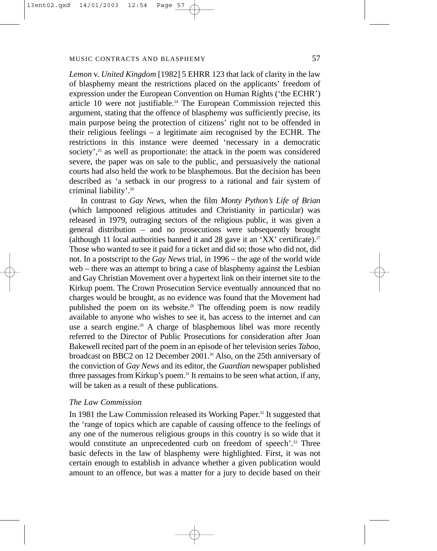*Lemon* v. *United Kingdom* [1982] 5 EHRR 123 that lack of clarity in the law of blasphemy meant the restrictions placed on the applicants' freedom of expression under the European Convention on Human Rights ('the ECHR') article 10 were not justifiable.<sup>24</sup> The European Commission rejected this argument, stating that the offence of blasphemy *was* sufficiently precise, its main purpose being the protection of citizens' right not to be offended in their religious feelings – a legitimate aim recognised by the ECHR. The restrictions in this instance were deemed 'necessary in a democratic society',<sup>25</sup> as well as proportionate: the attack in the poem was considered severe, the paper was on sale to the public, and persuasively the national courts had also held the work to be blasphemous. But the decision has been described as 'a setback in our progress to a rational and fair system of criminal liability'.26

In contrast to *Gay News*, when the film *Monty Python's Life of Brian* (which lampooned religious attitudes and Christianity in particular) was released in 1979, outraging sectors of the religious public, it was given a general distribution – and no prosecutions were subsequently brought (although 11 local authorities banned it and 28 gave it an 'XX' certificate).<sup>27</sup> Those who wanted to see it paid for a ticket and did so; those who did not, did not. In a postscript to the *Gay News* trial, in 1996 – the age of the world wide web – there was an attempt to bring a case of blasphemy against the Lesbian and Gay Christian Movement over a hypertext link on their internet site to the Kirkup poem. The Crown Prosecution Service eventually announced that no charges would be brought, as no evidence was found that the Movement had published the poem on its website.<sup>28</sup> The offending poem is now readily available to anyone who wishes to see it, has access to the internet and can use a search engine.<sup>29</sup> A charge of blasphemous libel was more recently referred to the Director of Public Prosecutions for consideration after Joan Bakewell recited part of the poem in an episode of her television series *Taboo*, broadcast on BBC2 on 12 December 2001.30 Also, on the 25th anniversary of the conviction of *Gay News* and its editor, the *Guardian* newspaper published three passages from Kirkup's poem.<sup>31</sup> It remains to be seen what action, if any, will be taken as a result of these publications.

# *The Law Commission*

In 1981 the Law Commission released its Working Paper.32 It suggested that the 'range of topics which are capable of causing offence to the feelings of any one of the numerous religious groups in this country is so wide that it would constitute an unprecedented curb on freedom of speech'.<sup>33</sup> Three basic defects in the law of blasphemy were highlighted. First, it was not certain enough to establish in advance whether a given publication would amount to an offence, but was a matter for a jury to decide based on their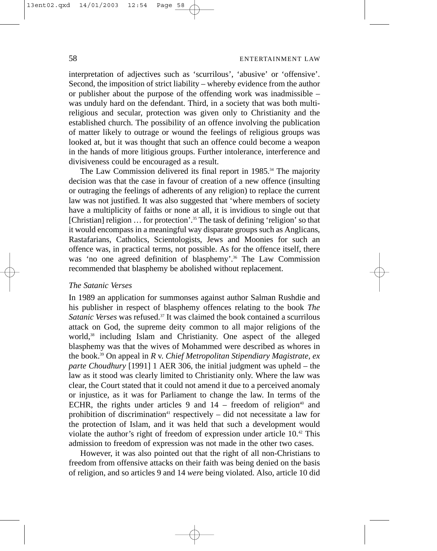interpretation of adjectives such as 'scurrilous', 'abusive' or 'offensive'. Second, the imposition of strict liability – whereby evidence from the author or publisher about the purpose of the offending work was inadmissible – was unduly hard on the defendant. Third, in a society that was both multireligious and secular, protection was given only to Christianity and the established church. The possibility of an offence involving the publication of matter likely to outrage or wound the feelings of religious groups was looked at, but it was thought that such an offence could become a weapon in the hands of more litigious groups. Further intolerance, interference and divisiveness could be encouraged as a result.

The Law Commission delivered its final report in 1985.<sup>34</sup> The majority decision was that the case in favour of creation of a new offence (insulting or outraging the feelings of adherents of any religion) to replace the current law was not justified. It was also suggested that 'where members of society have a multiplicity of faiths or none at all, it is invidious to single out that [Christian] religion … for protection'.35 The task of defining 'religion' so that it would encompass in a meaningful way disparate groups such as Anglicans, Rastafarians, Catholics, Scientologists, Jews and Moonies for such an offence was, in practical terms, not possible. As for the offence itself, there was 'no one agreed definition of blasphemy'.<sup>36</sup> The Law Commission recommended that blasphemy be abolished without replacement.

# *The Satanic Verses*

In 1989 an application for summonses against author Salman Rushdie and his publisher in respect of blasphemy offences relating to the book *The Satanic Verses* was refused.37 It was claimed the book contained a scurrilous attack on God, the supreme deity common to all major religions of the world,<sup>38</sup> including Islam and Christianity. One aspect of the alleged blasphemy was that the wives of Mohammed were described as whores in the book.39 On appeal in *R* v. *Chief Metropolitan Stipendiary Magistrate, ex parte Choudhury* [1991] 1 AER 306, the initial judgment was upheld – the law as it stood was clearly limited to Christianity only. Where the law was clear, the Court stated that it could not amend it due to a perceived anomaly or injustice, as it was for Parliament to change the law. In terms of the ECHR, the rights under articles 9 and  $14$  – freedom of religion<sup>40</sup> and prohibition of discrimination<sup>41</sup> respectively  $-$  did not necessitate a law for the protection of Islam, and it was held that such a development would violate the author's right of freedom of expression under article 10.42 This admission to freedom of expression was not made in the other two cases.

However, it was also pointed out that the right of all non-Christians to freedom from offensive attacks on their faith was being denied on the basis of religion, and so articles 9 and 14 *were* being violated. Also, article 10 did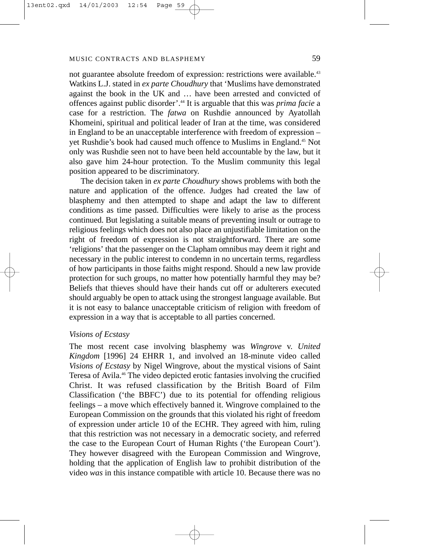not guarantee absolute freedom of expression: restrictions were available.<sup>43</sup> Watkins L.J. stated in *ex parte Choudhury* that 'Muslims have demonstrated against the book in the UK and … have been arrested and convicted of offences against public disorder'.44 It is arguable that this was *prima facie* a case for a restriction. The *fatwa* on Rushdie announced by Ayatollah Khomeini, spiritual and political leader of Iran at the time, was considered in England to be an unacceptable interference with freedom of expression – yet Rushdie's book had caused much offence to Muslims in England.45 Not only was Rushdie seen not to have been held accountable by the law, but it also gave him 24-hour protection. To the Muslim community this legal position appeared to be discriminatory.

The decision taken in *ex parte Choudhury* shows problems with both the nature and application of the offence. Judges had created the law of blasphemy and then attempted to shape and adapt the law to different conditions as time passed. Difficulties were likely to arise as the process continued. But legislating a suitable means of preventing insult or outrage to religious feelings which does not also place an unjustifiable limitation on the right of freedom of expression is not straightforward. There are some 'religions' that the passenger on the Clapham omnibus may deem it right and necessary in the public interest to condemn in no uncertain terms, regardless of how participants in those faiths might respond. Should a new law provide protection for such groups, no matter how potentially harmful they may be? Beliefs that thieves should have their hands cut off or adulterers executed should arguably be open to attack using the strongest language available. But it is not easy to balance unacceptable criticism of religion with freedom of expression in a way that is acceptable to all parties concerned.

#### *Visions of Ecstasy*

The most recent case involving blasphemy was *Wingrove* v. *United Kingdom* [1996] 24 EHRR 1, and involved an 18-minute video called *Visions of Ecstasy* by Nigel Wingrove, about the mystical visions of Saint Teresa of Avila.46 The video depicted erotic fantasies involving the crucified Christ. It was refused classification by the British Board of Film Classification ('the BBFC') due to its potential for offending religious feelings – a move which effectively banned it. Wingrove complained to the European Commission on the grounds that this violated his right of freedom of expression under article 10 of the ECHR. They agreed with him, ruling that this restriction was not necessary in a democratic society, and referred the case to the European Court of Human Rights ('the European Court'). They however disagreed with the European Commission and Wingrove, holding that the application of English law to prohibit distribution of the video *was* in this instance compatible with article 10. Because there was no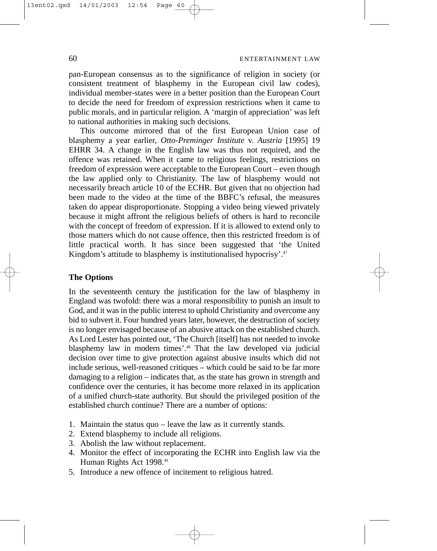pan-European consensus as to the significance of religion in society (or consistent treatment of blasphemy in the European civil law codes), individual member-states were in a better position than the European Court to decide the need for freedom of expression restrictions when it came to public morals, and in particular religion. A 'margin of appreciation' was left to national authorities in making such decisions.

This outcome mirrored that of the first European Union case of blasphemy a year earlier, *Otto-Preminger Institute* v. *Austria* [1995] 19 EHRR 34. A change in the English law was thus not required, and the offence was retained. When it came to religious feelings, restrictions on freedom of expression were acceptable to the European Court – even though the law applied only to Christianity. The law of blasphemy would not necessarily breach article 10 of the ECHR. But given that no objection had been made to the video at the time of the BBFC's refusal, the measures taken do appear disproportionate. Stopping a video being viewed privately because it might affront the religious beliefs of others is hard to reconcile with the concept of freedom of expression. If it is allowed to extend only to those matters which do not cause offence, then this restricted freedom is of little practical worth. It has since been suggested that 'the United Kingdom's attitude to blasphemy is institutionalised hypocrisy'.<sup>47</sup>

# **The Options**

In the seventeenth century the justification for the law of blasphemy in England was twofold: there was a moral responsibility to punish an insult to God, and it was in the public interest to uphold Christianity and overcome any bid to subvert it. Four hundred years later, however, the destruction of society is no longer envisaged because of an abusive attack on the established church. As Lord Lester has pointed out, 'The Church [itself] has not needed to invoke blasphemy law in modern times'.<sup>48</sup> That the law developed via judicial decision over time to give protection against abusive insults which did not include serious, well-reasoned critiques – which could be said to be far more damaging to a religion – indicates that, as the state has grown in strength and confidence over the centuries, it has become more relaxed in its application of a unified church-state authority. But should the privileged position of the established church continue? There are a number of options:

- 1. Maintain the status quo leave the law as it currently stands.
- 2. Extend blasphemy to include all religions.
- 3. Abolish the law without replacement.
- 4. Monitor the effect of incorporating the ECHR into English law via the Human Rights Act 1998.<sup>49</sup>
- 5. Introduce a new offence of incitement to religious hatred.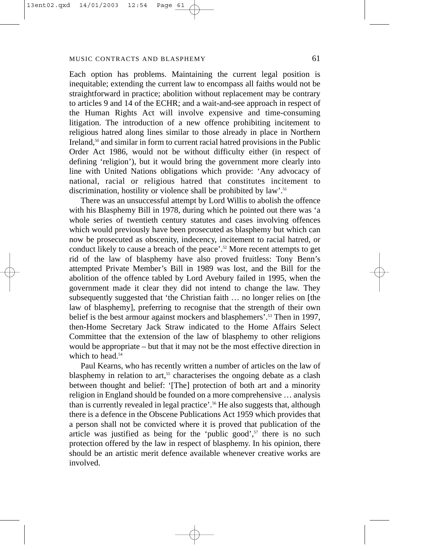Each option has problems. Maintaining the current legal position is inequitable; extending the current law to encompass all faiths would not be straightforward in practice; abolition without replacement may be contrary to articles 9 and 14 of the ECHR; and a wait-and-see approach in respect of the Human Rights Act will involve expensive and time-consuming litigation. The introduction of a new offence prohibiting incitement to religious hatred along lines similar to those already in place in Northern Ireland, $5<sup>0</sup>$  and similar in form to current racial hatred provisions in the Public Order Act 1986, would not be without difficulty either (in respect of defining 'religion'), but it would bring the government more clearly into line with United Nations obligations which provide: 'Any advocacy of national, racial or religious hatred that constitutes incitement to discrimination, hostility or violence shall be prohibited by law'.<sup>51</sup>

There was an unsuccessful attempt by Lord Willis to abolish the offence with his Blasphemy Bill in 1978, during which he pointed out there was 'a whole series of twentieth century statutes and cases involving offences which would previously have been prosecuted as blasphemy but which can now be prosecuted as obscenity, indecency, incitement to racial hatred, or conduct likely to cause a breach of the peace'.52 More recent attempts to get rid of the law of blasphemy have also proved fruitless: Tony Benn's attempted Private Member's Bill in 1989 was lost, and the Bill for the abolition of the offence tabled by Lord Avebury failed in 1995, when the government made it clear they did not intend to change the law. They subsequently suggested that 'the Christian faith … no longer relies on [the law of blasphemy], preferring to recognise that the strength of their own belief is the best armour against mockers and blasphemers'.<sup>53</sup> Then in 1997, then-Home Secretary Jack Straw indicated to the Home Affairs Select Committee that the extension of the law of blasphemy to other religions would be appropriate – but that it may not be the most effective direction in which to head.<sup>54</sup>

Paul Kearns, who has recently written a number of articles on the law of blasphemy in relation to art,<sup>55</sup> characterises the ongoing debate as a clash between thought and belief: '[The] protection of both art and a minority religion in England should be founded on a more comprehensive … analysis than is currently revealed in legal practice'.56 He also suggests that, although there is a defence in the Obscene Publications Act 1959 which provides that a person shall not be convicted where it is proved that publication of the article was justified as being for the 'public good', $57$  there is no such protection offered by the law in respect of blasphemy. In his opinion, there should be an artistic merit defence available whenever creative works are involved.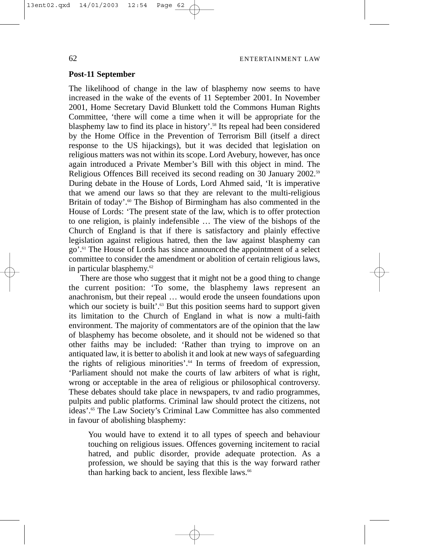# **Post-11 September**

The likelihood of change in the law of blasphemy now seems to have increased in the wake of the events of 11 September 2001. In November 2001, Home Secretary David Blunkett told the Commons Human Rights Committee, 'there will come a time when it will be appropriate for the blasphemy law to find its place in history'.<sup>58</sup> Its repeal had been considered by the Home Office in the Prevention of Terrorism Bill (itself a direct response to the US hijackings), but it was decided that legislation on religious matters was not within its scope. Lord Avebury, however, has once again introduced a Private Member's Bill with this object in mind. The Religious Offences Bill received its second reading on 30 January 2002.59 During debate in the House of Lords, Lord Ahmed said, 'It is imperative that we amend our laws so that they are relevant to the multi-religious Britain of today'.<sup>60</sup> The Bishop of Birmingham has also commented in the House of Lords: 'The present state of the law, which is to offer protection to one religion, is plainly indefensible … The view of the bishops of the Church of England is that if there is satisfactory and plainly effective legislation against religious hatred, then the law against blasphemy can go'.61 The House of Lords has since announced the appointment of a select committee to consider the amendment or abolition of certain religious laws, in particular blasphemy.<sup>62</sup>

There are those who suggest that it might not be a good thing to change the current position: 'To some, the blasphemy laws represent an anachronism, but their repeal … would erode the unseen foundations upon which our society is built'.<sup>63</sup> But this position seems hard to support given its limitation to the Church of England in what is now a multi-faith environment. The majority of commentators are of the opinion that the law of blasphemy has become obsolete, and it should not be widened so that other faiths may be included: 'Rather than trying to improve on an antiquated law, it is better to abolish it and look at new ways of safeguarding the rights of religious minorities'.64 In terms of freedom of expression, 'Parliament should not make the courts of law arbiters of what is right, wrong or acceptable in the area of religious or philosophical controversy. These debates should take place in newspapers, tv and radio programmes, pulpits and public platforms. Criminal law should protect the citizens, not ideas'.65 The Law Society's Criminal Law Committee has also commented in favour of abolishing blasphemy:

You would have to extend it to all types of speech and behaviour touching on religious issues. Offences governing incitement to racial hatred, and public disorder, provide adequate protection. As a profession, we should be saying that this is the way forward rather than harking back to ancient, less flexible laws.<sup>66</sup>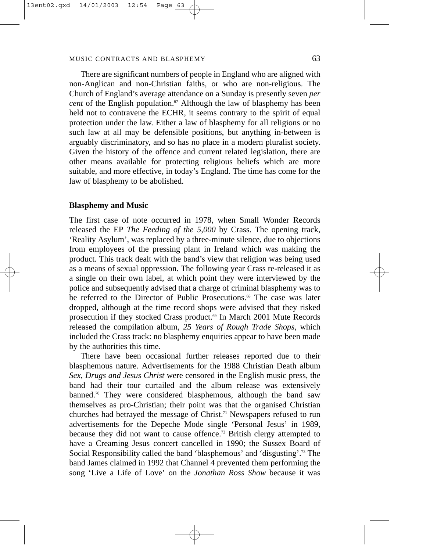There are significant numbers of people in England who are aligned with non-Anglican and non-Christian faiths, or who are non-religious. The Church of England's average attendance on a Sunday is presently seven *per cent* of the English population.<sup>67</sup> Although the law of blasphemy has been held not to contravene the ECHR, it seems contrary to the spirit of equal protection under the law. Either a law of blasphemy for all religions or no such law at all may be defensible positions, but anything in-between is arguably discriminatory, and so has no place in a modern pluralist society. Given the history of the offence and current related legislation, there are other means available for protecting religious beliefs which are more suitable, and more effective, in today's England. The time has come for the law of blasphemy to be abolished.

#### **Blasphemy and Music**

The first case of note occurred in 1978, when Small Wonder Records released the EP *The Feeding of the 5,000* by Crass. The opening track, 'Reality Asylum', was replaced by a three-minute silence, due to objections from employees of the pressing plant in Ireland which was making the product. This track dealt with the band's view that religion was being used as a means of sexual oppression. The following year Crass re-released it as a single on their own label, at which point they were interviewed by the police and subsequently advised that a charge of criminal blasphemy was to be referred to the Director of Public Prosecutions.68 The case was later dropped, although at the time record shops were advised that they risked prosecution if they stocked Crass product.<sup>69</sup> In March 2001 Mute Records released the compilation album, *25 Years of Rough Trade Shops*, which included the Crass track: no blasphemy enquiries appear to have been made by the authorities this time.

There have been occasional further releases reported due to their blasphemous nature. Advertisements for the 1988 Christian Death album *Sex, Drugs and Jesus Christ* were censored in the English music press, the band had their tour curtailed and the album release was extensively banned.70 They were considered blasphemous, although the band saw themselves as pro-Christian; their point was that the organised Christian churches had betrayed the message of Christ.<sup>71</sup> Newspapers refused to run advertisements for the Depeche Mode single 'Personal Jesus' in 1989, because they did not want to cause offence.<sup>72</sup> British clergy attempted to have a Creaming Jesus concert cancelled in 1990; the Sussex Board of Social Responsibility called the band 'blasphemous' and 'disgusting'.73 The band James claimed in 1992 that Channel 4 prevented them performing the song 'Live a Life of Love' on the *Jonathan Ross Show* because it was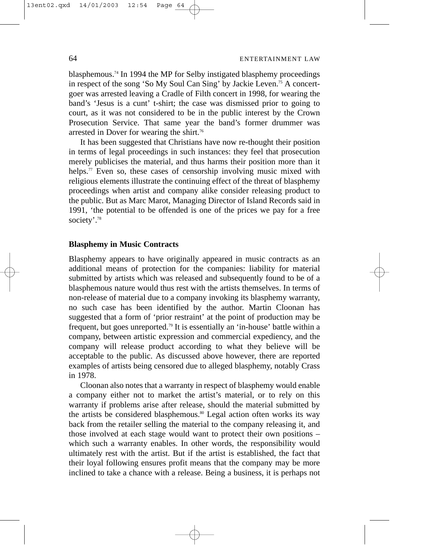blasphemous.74 In 1994 the MP for Selby instigated blasphemy proceedings in respect of the song 'So My Soul Can Sing' by Jackie Leven.75 A concertgoer was arrested leaving a Cradle of Filth concert in 1998, for wearing the band's 'Jesus is a cunt' t-shirt; the case was dismissed prior to going to court, as it was not considered to be in the public interest by the Crown Prosecution Service. That same year the band's former drummer was arrested in Dover for wearing the shirt.<sup>76</sup>

It has been suggested that Christians have now re-thought their position in terms of legal proceedings in such instances: they feel that prosecution merely publicises the material, and thus harms their position more than it helps.<sup>77</sup> Even so, these cases of censorship involving music mixed with religious elements illustrate the continuing effect of the threat of blasphemy proceedings when artist and company alike consider releasing product to the public. But as Marc Marot, Managing Director of Island Records said in 1991, 'the potential to be offended is one of the prices we pay for a free society'.<sup>78</sup>

# **Blasphemy in Music Contracts**

Blasphemy appears to have originally appeared in music contracts as an additional means of protection for the companies: liability for material submitted by artists which was released and subsequently found to be of a blasphemous nature would thus rest with the artists themselves. In terms of non-release of material due to a company invoking its blasphemy warranty, no such case has been identified by the author. Martin Cloonan has suggested that a form of 'prior restraint' at the point of production may be frequent, but goes unreported.79 It is essentially an 'in-house' battle within a company, between artistic expression and commercial expediency, and the company will release product according to what they believe will be acceptable to the public. As discussed above however, there are reported examples of artists being censored due to alleged blasphemy, notably Crass in 1978.

Cloonan also notes that a warranty in respect of blasphemy would enable a company either not to market the artist's material, or to rely on this warranty if problems arise after release, should the material submitted by the artists be considered blasphemous.<sup>80</sup> Legal action often works its way back from the retailer selling the material to the company releasing it, and those involved at each stage would want to protect their own positions – which such a warranty enables. In other words, the responsibility would ultimately rest with the artist. But if the artist is established, the fact that their loyal following ensures profit means that the company may be more inclined to take a chance with a release. Being a business, it is perhaps not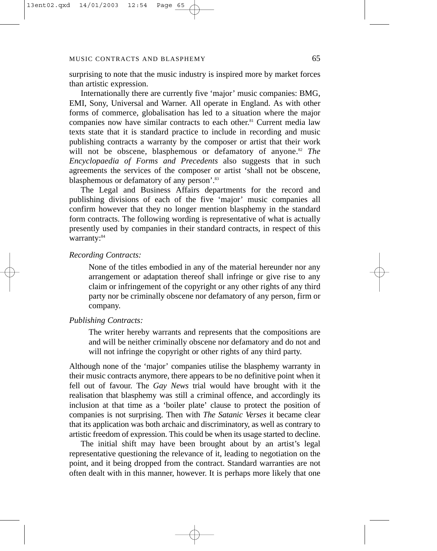surprising to note that the music industry is inspired more by market forces than artistic expression.

Internationally there are currently five 'major' music companies: BMG, EMI, Sony, Universal and Warner. All operate in England. As with other forms of commerce, globalisation has led to a situation where the major companies now have similar contracts to each other.81 Current media law texts state that it is standard practice to include in recording and music publishing contracts a warranty by the composer or artist that their work will not be obscene, blasphemous or defamatory of anyone.<sup>82</sup> *The Encyclopaedia of Forms and Precedents* also suggests that in such agreements the services of the composer or artist 'shall not be obscene, blasphemous or defamatory of any person'.83

The Legal and Business Affairs departments for the record and publishing divisions of each of the five 'major' music companies all confirm however that they no longer mention blasphemy in the standard form contracts. The following wording is representative of what is actually presently used by companies in their standard contracts, in respect of this warranty: 84

# *Recording Contracts:*

None of the titles embodied in any of the material hereunder nor any arrangement or adaptation thereof shall infringe or give rise to any claim or infringement of the copyright or any other rights of any third party nor be criminally obscene nor defamatory of any person, firm or company.

# *Publishing Contracts:*

The writer hereby warrants and represents that the compositions are and will be neither criminally obscene nor defamatory and do not and will not infringe the copyright or other rights of any third party.

Although none of the 'major' companies utilise the blasphemy warranty in their music contracts anymore, there appears to be no definitive point when it fell out of favour. The *Gay News* trial would have brought with it the realisation that blasphemy was still a criminal offence, and accordingly its inclusion at that time as a 'boiler plate' clause to protect the position of companies is not surprising. Then with *The Satanic Verses* it became clear that its application was both archaic and discriminatory, as well as contrary to artistic freedom of expression. This could be when its usage started to decline.

The initial shift may have been brought about by an artist's legal representative questioning the relevance of it, leading to negotiation on the point, and it being dropped from the contract. Standard warranties are not often dealt with in this manner, however. It is perhaps more likely that one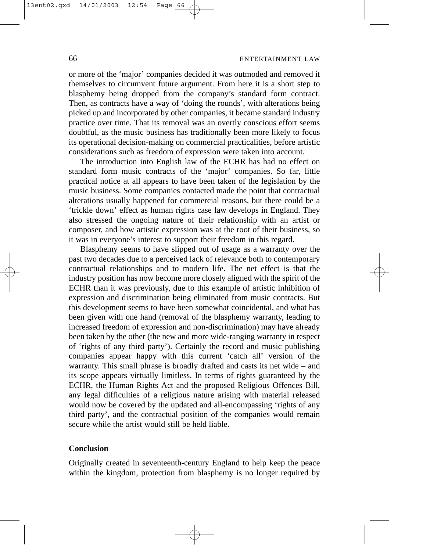# 66 ENTERTAINMENT LAW

or more of the 'major' companies decided it was outmoded and removed it themselves to circumvent future argument. From here it is a short step to blasphemy being dropped from the company's standard form contract. Then, as contracts have a way of 'doing the rounds', with alterations being picked up and incorporated by other companies, it became standard industry practice over time. That its removal was an overtly conscious effort seems doubtful, as the music business has traditionally been more likely to focus its operational decision-making on commercial practicalities, before artistic considerations such as freedom of expression were taken into account.

The introduction into English law of the ECHR has had no effect on standard form music contracts of the 'major' companies. So far, little practical notice at all appears to have been taken of the legislation by the music business. Some companies contacted made the point that contractual alterations usually happened for commercial reasons, but there could be a 'trickle down' effect as human rights case law develops in England. They also stressed the ongoing nature of their relationship with an artist or composer, and how artistic expression was at the root of their business, so it was in everyone's interest to support their freedom in this regard.

Blasphemy seems to have slipped out of usage as a warranty over the past two decades due to a perceived lack of relevance both to contemporary contractual relationships and to modern life. The net effect is that the industry position has now become more closely aligned with the spirit of the ECHR than it was previously, due to this example of artistic inhibition of expression and discrimination being eliminated from music contracts. But this development seems to have been somewhat coincidental, and what has been given with one hand (removal of the blasphemy warranty, leading to increased freedom of expression and non-discrimination) may have already been taken by the other (the new and more wide-ranging warranty in respect of 'rights of any third party'). Certainly the record and music publishing companies appear happy with this current 'catch all' version of the warranty. This small phrase is broadly drafted and casts its net wide – and its scope appears virtually limitless. In terms of rights guaranteed by the ECHR, the Human Rights Act and the proposed Religious Offences Bill, any legal difficulties of a religious nature arising with material released would now be covered by the updated and all-encompassing 'rights of any third party', and the contractual position of the companies would remain secure while the artist would still be held liable.

# **Conclusion**

Originally created in seventeenth-century England to help keep the peace within the kingdom, protection from blasphemy is no longer required by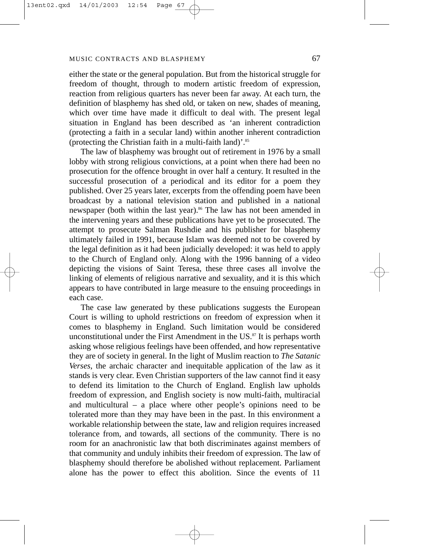either the state or the general population. But from the historical struggle for freedom of thought, through to modern artistic freedom of expression, reaction from religious quarters has never been far away. At each turn, the definition of blasphemy has shed old, or taken on new, shades of meaning, which over time have made it difficult to deal with. The present legal situation in England has been described as 'an inherent contradiction (protecting a faith in a secular land) within another inherent contradiction (protecting the Christian faith in a multi-faith land)'.85

The law of blasphemy was brought out of retirement in 1976 by a small lobby with strong religious convictions, at a point when there had been no prosecution for the offence brought in over half a century. It resulted in the successful prosecution of a periodical and its editor for a poem they published. Over 25 years later, excerpts from the offending poem have been broadcast by a national television station and published in a national newspaper (both within the last year).<sup>86</sup> The law has not been amended in the intervening years and these publications have yet to be prosecuted. The attempt to prosecute Salman Rushdie and his publisher for blasphemy ultimately failed in 1991, because Islam was deemed not to be covered by the legal definition as it had been judicially developed: it was held to apply to the Church of England only. Along with the 1996 banning of a video depicting the visions of Saint Teresa, these three cases all involve the linking of elements of religious narrative and sexuality, and it is this which appears to have contributed in large measure to the ensuing proceedings in each case.

The case law generated by these publications suggests the European Court is willing to uphold restrictions on freedom of expression when it comes to blasphemy in England. Such limitation would be considered unconstitutional under the First Amendment in the  $US$ .<sup>87</sup> It is perhaps worth asking whose religious feelings have been offended, and how representative they are of society in general. In the light of Muslim reaction to *The Satanic Verses*, the archaic character and inequitable application of the law as it stands is very clear. Even Christian supporters of the law cannot find it easy to defend its limitation to the Church of England. English law upholds freedom of expression, and English society is now multi-faith, multiracial and multicultural – a place where other people's opinions need to be tolerated more than they may have been in the past. In this environment a workable relationship between the state, law and religion requires increased tolerance from, and towards, all sections of the community. There is no room for an anachronistic law that both discriminates against members of that community and unduly inhibits their freedom of expression. The law of blasphemy should therefore be abolished without replacement. Parliament alone has the power to effect this abolition. Since the events of 11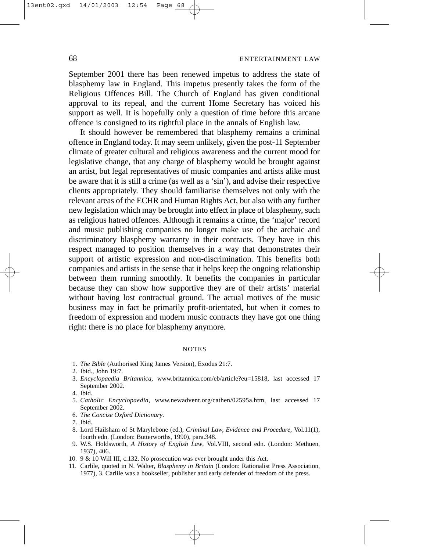September 2001 there has been renewed impetus to address the state of blasphemy law in England. This impetus presently takes the form of the Religious Offences Bill. The Church of England has given conditional approval to its repeal, and the current Home Secretary has voiced his support as well. It is hopefully only a question of time before this arcane offence is consigned to its rightful place in the annals of English law.

It should however be remembered that blasphemy remains a criminal offence in England today. It may seem unlikely, given the post-11 September climate of greater cultural and religious awareness and the current mood for legislative change, that any charge of blasphemy would be brought against an artist, but legal representatives of music companies and artists alike must be aware that it is still a crime (as well as a 'sin'), and advise their respective clients appropriately. They should familiarise themselves not only with the relevant areas of the ECHR and Human Rights Act, but also with any further new legislation which may be brought into effect in place of blasphemy, such as religious hatred offences. Although it remains a crime, the 'major' record and music publishing companies no longer make use of the archaic and discriminatory blasphemy warranty in their contracts. They have in this respect managed to position themselves in a way that demonstrates their support of artistic expression and non-discrimination. This benefits both companies and artists in the sense that it helps keep the ongoing relationship between them running smoothly. It benefits the companies in particular because they can show how supportive they are of their artists' material without having lost contractual ground. The actual motives of the music business may in fact be primarily profit-orientated, but when it comes to freedom of expression and modern music contracts they have got one thing right: there is no place for blasphemy anymore.

#### NOTES

1. *The Bible* (Authorised King James Version), Exodus 21:7.

3. *Encyclopaedia Britannica*, www.britannica.com/eb/article?eu=15818, last accessed 17 September 2002.

- 5. *Catholic Encyclopaedia*, www.newadvent.org/cathen/02595a.htm, last accessed 17 September 2002.
- 6. *The Concise Oxford Dictionary*.
- 7. Ibid.
- 8. Lord Hailsham of St Marylebone (ed.), *Criminal Law, Evidence and Procedure*, Vol.11(1), fourth edn. (London: Butterworths, 1990), para.348.
- 9. W.S. Holdsworth, *A History of English Law*, Vol.VIII, second edn. (London: Methuen, 1937), 406.
- 10. 9 & 10 Will III, c.132. No prosecution was ever brought under this Act.
- 11. Carlile, quoted in N. Walter, *Blasphemy in Britain* (London: Rationalist Press Association, 1977), 3. Carlile was a bookseller, publisher and early defender of freedom of the press.

<sup>2.</sup> Ibid., John 19:7.

<sup>4.</sup> Ibid.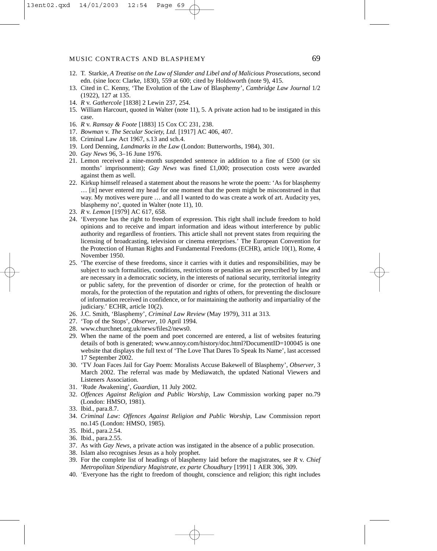### MUSIC CONTRACTS AND BLASPHEMY 69

- 12. T. Starkie, *A Treatise on the Law of Slander and Libel and of Malicious Prosecutions,* second edn. (sine loco: Clarke, 1830), 559 at 600; cited by Holdsworth (note 9), 415.
- 13. Cited in C. Kenny, 'The Evolution of the Law of Blasphemy', *Cambridge Law Journal* 1/2 (1922), 127 at 135.
- 14. *R* v. *Gathercole* [1838] 2 Lewin 237, 254.
- 15. William Harcourt, quoted in Walter (note 11), 5. A private action had to be instigated in this case.
- 16. *R* v. *Ramsay & Foote* [1883] 15 Cox CC 231, 238.
- 17. *Bowman* v. *The Secular Society, Ltd.* [1917] AC 406, 407.
- 18. Criminal Law Act 1967, s.13 and sch.4.
- 19. Lord Denning, *Landmarks in the Law* (London: Butterworths, 1984), 301.
- 20. *Gay News* 96, 3–16 June 1976.
- 21. Lemon received a nine-month suspended sentence in addition to a fine of £500 (or six months' imprisonment); *Gay News* was fined £1,000; prosecution costs were awarded against them as well.
- 22. Kirkup himself released a statement about the reasons he wrote the poem: 'As for blasphemy … [it] never entered my head for one moment that the poem might be misconstrued in that way. My motives were pure … and all I wanted to do was create a work of art. Audacity yes, blasphemy no', quoted in Walter (note 11), 10.
- 23. *R* v. *Lemon* [1979] AC 617, 658.
- 24. 'Everyone has the right to freedom of expression. This right shall include freedom to hold opinions and to receive and impart information and ideas without interference by public authority and regardless of frontiers. This article shall not prevent states from requiring the licensing of broadcasting, television or cinema enterprises.' The European Convention for the Protection of Human Rights and Fundamental Freedoms (ECHR), article 10(1), Rome, 4 November 1950.
- 25. 'The exercise of these freedoms, since it carries with it duties and responsibilities, may be subject to such formalities, conditions, restrictions or penalties as are prescribed by law and are necessary in a democratic society, in the interests of national security, territorial integrity or public safety, for the prevention of disorder or crime, for the protection of health or morals, for the protection of the reputation and rights of others, for preventing the disclosure of information received in confidence, or for maintaining the authority and impartiality of the judiciary.' ECHR, article 10(2).
- 26. J.C. Smith, 'Blasphemy', *Criminal Law Review* (May 1979), 311 at 313.
- 27. 'Top of the Stops', *Observer*, 10 April 1994.
- 28. www.churchnet.org.uk/news/files2/news0.
- 29. When the name of the poem and poet concerned are entered, a list of websites featuring details of both is generated; www.annoy.com/history/doc.html?DocumentID=100045 is one website that displays the full text of 'The Love That Dares To Speak Its Name', last accessed 17 September 2002.
- 30. 'TV Joan Faces Jail for Gay Poem: Moralists Accuse Bakewell of Blasphemy', *Observer*, 3 March 2002. The referral was made by Mediawatch, the updated National Viewers and Listeners Association.
- 31. 'Rude Awakening', *Guardian*, 11 July 2002.
- 32. *Offences Against Religion and Public Worship*, Law Commission working paper no.79 (London: HMSO, 1981).

- 34. *Criminal Law: Offences Against Religion and Public Worship*, Law Commission report no.145 (London: HMSO, 1985).
- 35. Ibid., para.2.54.
- 36. Ibid., para.2.55.
- 37. As with *Gay News*, a private action was instigated in the absence of a public prosecution.
- 38. Islam also recognises Jesus as a holy prophet.
- 39. For the complete list of headings of blasphemy laid before the magistrates, see *R* v. *Chief Metropolitan Stipendiary Magistrate, ex parte Choudhury* [1991] 1 AER 306, 309.
- 40. 'Everyone has the right to freedom of thought, conscience and religion; this right includes

<sup>33.</sup> Ibid., para.8.7.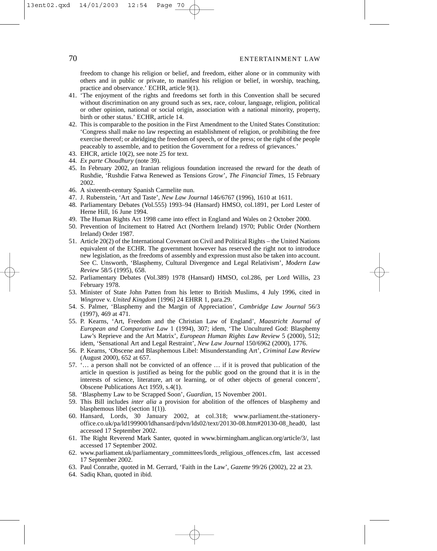freedom to change his religion or belief, and freedom, either alone or in community with others and in public or private, to manifest his religion or belief, in worship, teaching, practice and observance.' ECHR, article 9(1).

- 41. 'The enjoyment of the rights and freedoms set forth in this Convention shall be secured without discrimination on any ground such as sex, race, colour, language, religion, political or other opinion, national or social origin, association with a national minority, property, birth or other status.' ECHR, article 14.
- 42. This is comparable to the position in the First Amendment to the United States Constitution: 'Congress shall make no law respecting an establishment of religion, or prohibiting the free exercise thereof; or abridging the freedom of speech, or of the press; or the right of the people peaceably to assemble, and to petition the Government for a redress of grievances.'
- 43. EHCR, article 10(2), see note 25 for text.
- 44. *Ex parte Choudhury* (note 39).
- 45. In February 2002, an Iranian religious foundation increased the reward for the death of Rushdie, 'Rushdie Fatwa Renewed as Tensions Grow', *The Financial Times*, 15 February 2002.
- 46. A sixteenth-century Spanish Carmelite nun.
- 47. J. Rubenstein, 'Art and Taste', *New Law Journal* 146/6767 (1996), 1610 at 1611.
- 48. Parliamentary Debates (Vol.555) 1993–94 (Hansard) HMSO, col.1891, per Lord Lester of Herne Hill, 16 June 1994.
- 49. The Human Rights Act 1998 came into effect in England and Wales on 2 October 2000.
- 50. Prevention of Incitement to Hatred Act (Northern Ireland) 1970; Public Order (Northern Ireland) Order 1987.
- 51. Article 20(2) of the International Covenant on Civil and Political Rights the United Nations equivalent of the ECHR. The government however has reserved the right not to introduce new legislation, as the freedoms of assembly and expression must also be taken into account. See C. Unsworth, 'Blasphemy, Cultural Divergence and Legal Relativism', *Modern Law Review* 58/5 (1995), 658.
- 52. Parliamentary Debates (Vol.389) 1978 (Hansard) HMSO, col.286, per Lord Willis, 23 February 1978.
- 53. Minister of State John Patten from his letter to British Muslims, 4 July 1996, cited in *Wingrove* v. *United Kingdom* [1996] 24 EHRR 1, para.29.
- 54. S. Palmer, 'Blasphemy and the Margin of Appreciation', *Cambridge Law Journal* 56/3 (1997), 469 at 471.
- 55. P. Kearns, 'Art, Freedom and the Christian Law of England', *Maastricht Journal of European and Comparative Law* 1 (1994), 307; idem, 'The Uncultured God: Blasphemy Law's Reprieve and the Art Matrix', *European Human Rights Law Review* 5 (2000), 512; idem, 'Sensational Art and Legal Restraint', *New Law Journal* 150/6962 (2000), 1776.
- 56. P. Kearns, 'Obscene and Blasphemous Libel: Misunderstanding Art', *Criminal Law Review* (August 2000), 652 at 657.
- 57. '… a person shall not be convicted of an offence … if it is proved that publication of the article in question is justified as being for the public good on the ground that it is in the interests of science, literature, art or learning, or of other objects of general concern', Obscene Publications Act 1959, s.4(1).
- 58. 'Blasphemy Law to be Scrapped Soon', *Guardian*, 15 November 2001.
- 59. This Bill includes *inter alia* a provision for abolition of the offences of blasphemy and blasphemous libel (section 1(1)).
- 60. Hansard, Lords, 30 January 2002, at col.318; www.parliament.the-stationeryoffice.co.uk/pa/ld199900/ldhansard/pdvn/lds02/text/20130-08.htm#20130-08\_head0, last accessed 17 September 2002.
- 61. The Right Reverend Mark Santer, quoted in www.birmingham.anglican.org/article/3/, last accessed 17 September 2002.
- 62. www.parliament.uk/parliamentary\_committees/lords\_religious\_offences.cfm, last accessed 17 September 2002.
- 63. Paul Conrathe, quoted in M. Gerrard, 'Faith in the Law', *Gazette* 99/26 (2002), 22 at 23.
- 64. Sadiq Khan, quoted in ibid.